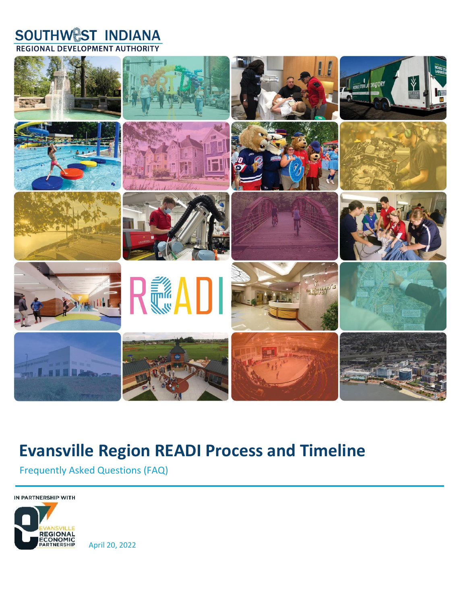## **SOUTHWEST INDIANA REGIONAL DEVELOPMENT AUTHORITY**



# **Evansville Region READI Process and Timeline**

Frequently Asked Questions (FAQ)

IN PARTNERSHIP WITH



April 20, 2022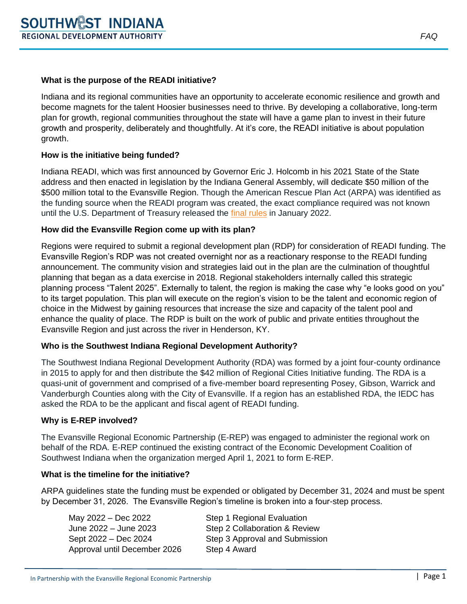## **What is the purpose of the READI initiative?**

Indiana and its regional communities have an opportunity to accelerate economic resilience and growth and become magnets for the talent Hoosier businesses need to thrive. By developing a collaborative, long-term plan for growth, regional communities throughout the state will have a game plan to invest in their future growth and prosperity, deliberately and thoughtfully. At it's core, the READI initiative is about population growth.

## **How is the initiative being funded?**

Indiana READI, which was first announced by Governor Eric J. Holcomb in his 2021 State of the State address and then enacted in legislation by the Indiana General Assembly, will dedicate \$50 million of the \$500 million total to the Evansville Region. Though the American Rescue Plan Act (ARPA) was identified as the funding source when the READI program was created, the exact compliance required was not known until the U.S. Department of Treasury released the final [rules](https://home.treasury.gov/system/files/136/SLFRF-Final-Rule.pdf) in January 2022.

## **How did the Evansville Region come up with its plan?**

Regions were required to submit a regional development plan (RDP) for consideration of READI funding. The Evansville Region's RDP was not created overnight nor as a reactionary response to the READI funding announcement. The community vision and strategies laid out in the plan are the culmination of thoughtful planning that began as a data exercise in 2018. Regional stakeholders internally called this strategic planning process "Talent 2025". Externally to talent, the region is making the case why "e looks good on you" to its target population. This plan will execute on the region's vision to be the talent and economic region of choice in the Midwest by gaining resources that increase the size and capacity of the talent pool and enhance the quality of place. The RDP is built on the work of public and private entities throughout the Evansville Region and just across the river in Henderson, KY.

## **Who is the Southwest Indiana Regional Development Authority?**

The Southwest Indiana Regional Development Authority (RDA) was formed by a joint four-county ordinance in 2015 to apply for and then distribute the \$42 million of Regional Cities Initiative funding. The RDA is a quasi-unit of government and comprised of a five-member board representing Posey, Gibson, Warrick and Vanderburgh Counties along with the City of Evansville. If a region has an established RDA, the IEDC has asked the RDA to be the applicant and fiscal agent of READI funding.

## **Why is E-REP involved?**

The Evansville Regional Economic Partnership (E-REP) was engaged to administer the regional work on behalf of the RDA. E-REP continued the existing contract of the Economic Development Coalition of Southwest Indiana when the organization merged April 1, 2021 to form E-REP.

## **What is the timeline for the initiative?**

ARPA guidelines state the funding must be expended or obligated by December 31, 2024 and must be spent by December 31, 2026. The Evansville Region's timeline is broken into a four-step process.

| Step 1 Regional Evaluation     |
|--------------------------------|
| Step 2 Collaboration & Review  |
| Step 3 Approval and Submission |
| Step 4 Award                   |
|                                |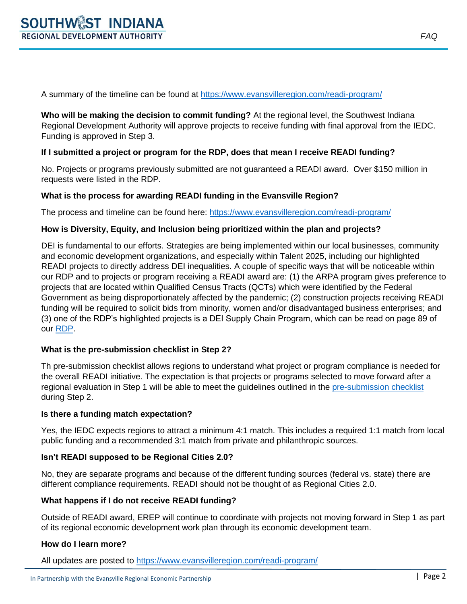A summary of the timeline can be found at<https://www.evansvilleregion.com/readi-program/>

**Who will be making the decision to commit funding?** At the regional level, the Southwest Indiana Regional Development Authority will approve projects to receive funding with final approval from the IEDC. Funding is approved in Step 3.

## **If I submitted a project or program for the RDP, does that mean I receive READI funding?**

No. Projects or programs previously submitted are not guaranteed a READI award. Over \$150 million in requests were listed in the RDP.

## **What is the process for awarding READI funding in the Evansville Region?**

The process and timeline can be found here:<https://www.evansvilleregion.com/readi-program/>

## **How is Diversity, Equity, and Inclusion being prioritized within the plan and projects?**

DEI is fundamental to our efforts. Strategies are being implemented within our local businesses, community and economic development organizations, and especially within Talent 2025, including our highlighted READI projects to directly address DEI inequalities. A couple of specific ways that will be noticeable within our RDP and to projects or program receiving a READI award are: (1) the ARPA program gives preference to projects that are located within Qualified Census Tracts (QCTs) which were identified by the Federal Government as being disproportionately affected by the pandemic; (2) construction projects receiving READI funding will be required to solicit bids from minority, women and/or disadvantaged business enterprises; and (3) one of the RDP's highlighted projects is a DEI Supply Chain Program, which can be read on page 89 of our [RDP.](https://evansvilleregion.com/wp-content/uploads/2022/02/READI-Regional-Development-Plan-1.pdf)

## **What is the pre-submission checklist in Step 2?**

Th pre-submission checklist allows regions to understand what project or program compliance is needed for the overall READI initiative. The expectation is that projects or programs selected to move forward after a regional evaluation in Step 1 will be able to meet the guidelines outlined in the [pre-submission](https://www.evansvilleregion.com/wp-content/uploads/2022/03/READI-Project-Checklist-03.15.2022.docx) checklist during Step 2.

## **Is there a funding match expectation?**

Yes, the IEDC expects regions to attract a minimum 4:1 match. This includes a required 1:1 match from local public funding and a recommended 3:1 match from private and philanthropic sources.

## **Isn't READI supposed to be Regional Cities 2.0?**

No, they are separate programs and because of the different funding sources (federal vs. state) there are different compliance requirements. READI should not be thought of as Regional Cities 2.0.

## **What happens if I do not receive READI funding?**

Outside of READI award, EREP will continue to coordinate with projects not moving forward in Step 1 as part of its regional economic development work plan through its economic development team.

#### **How do I learn more?**

All updates are posted to<https://www.evansvilleregion.com/readi-program/>